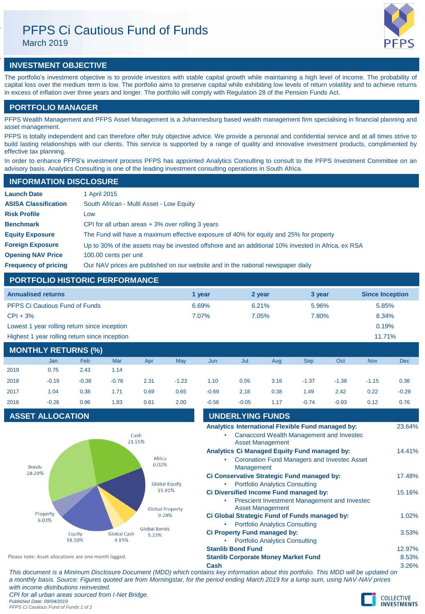# PFPS Ci Cautious Fund of Funds

March 2019



## **INVESTMENT OBJECTIVE**

The portfolio's investment objective is to provide investors with stable capital growth while maintaining a high level of income. The probability of capital loss over the medium term is low. The portfolio aims to preserve capital while exhibiting low levels of return volatility and to achieve returns in excess of inflation over three years and longer. The portfolio will comply with Regulation 28 of the Pension Funds Act.

## **PORTFOLIO MANAGER**

PFPS Wealth Management and PFPS Asset Management is a Johannesburg based wealth management firm specialising in financial planning and asset management.

PFPS is totally independent and can therefore offer truly objective advice. We provide a personal and confidential service and at all times strive to build lasting relationships with our clients. This service is supported by a range of quality and innovative investment products, complimented by effective tax planning.

In order to enhance PFPS's investment process PFPS has appointed Analytics Consulting to consult to the PFPS Investment Committee on an advisory basis. Analytics Consulting is one of the leading investment consulting operations in South Africa.

## **INFORMATION DISCLOSURE**

| <b>Launch Date</b>          | 1 April 2015                                                                                      |
|-----------------------------|---------------------------------------------------------------------------------------------------|
| <b>ASISA Classification</b> | South African - Multi Asset - Low Equity                                                          |
| <b>Risk Profile</b>         | LOW                                                                                               |
| <b>Benchmark</b>            | CPI for all urban areas $+3\%$ over rolling 3 years                                               |
| <b>Equity Exposure</b>      | The Fund will have a maximum effective exposure of 40% for equity and 25% for property            |
| <b>Foreign Exposure</b>     | Up to 30% of the assets may be invested offshore and an additional 10% invested in Africa, ex RSA |
| <b>Opening NAV Price</b>    | 100.00 cents per unit                                                                             |
| <b>Frequency of pricing</b> | Our NAV prices are published on our website and in the national newspaper daily                   |

## **PORTFOLIO HISTORIC PERFORMANCE**

| <b>Annualised returns</b>                     | 1 vear   | 2 year | 3 year | <b>Since Inception</b> |
|-----------------------------------------------|----------|--------|--------|------------------------|
| <b>PFPS Ci Cautious Fund of Funds</b>         | 6.69%    | 6.21%  | 5.96%  | 5.85%                  |
| $CPI + 3%$                                    | $7.07\%$ | 7.05%  | 7.80%  | 8.34%                  |
| Lowest 1 year rolling return since inception  |          |        |        | 0.19%                  |
| Highest 1 year rolling return since inception |          |        |        | 11.71%                 |

## **MONTHLY RETURNS (%)**

|      | <b>Jan</b> | Feb     | Mar     | Apr  | May     | Jun     | Jul     | Aug  | <b>Sep</b> | Oct     | <b>Nov</b> | <b>Dec</b> |
|------|------------|---------|---------|------|---------|---------|---------|------|------------|---------|------------|------------|
| 2019 | 0.75       | 2.43    | 1.14    |      |         |         |         |      |            |         |            |            |
| 2018 | $-0.19$    | $-0.38$ | $-0.76$ | 2.31 | $-1.23$ | 1.10    | 0.55    | 3.16 | $-1.37$    | $-1.38$ | $-1.15$    | 0.36       |
| 2017 | 1.04       | 0.38    | 1.71    | 0.69 | 0.65    | $-0.69$ | 2.18    | 0.38 | 1.49       | 2.42    | 0.22       | $-0.29$    |
| 2016 | $-0.26$    | 0.96    | 1.83    | 0.61 | 2.00    | $-0.56$ | $-0.05$ | 1.17 | $-0.74$    | $-0.93$ | 0.12       | 0.76       |

## **ASSET ALLOCATION**



| 2016                                                 | $-0.26$                 | 0.96                            | 1.83                 | 0.61                         | 2.00                                       | $-0.56$                               | $-0.05$                                       | 1.17                                  | $-0.74$                                      | $-0.93$                                                                                              | 0.12 | 0.76   |
|------------------------------------------------------|-------------------------|---------------------------------|----------------------|------------------------------|--------------------------------------------|---------------------------------------|-----------------------------------------------|---------------------------------------|----------------------------------------------|------------------------------------------------------------------------------------------------------|------|--------|
|                                                      | <b>ASSET ALLOCATION</b> |                                 |                      |                              |                                            |                                       | <b>UNDERLYING FUNDS</b>                       |                                       |                                              |                                                                                                      |      |        |
|                                                      |                         |                                 | Cash<br>21.55%       |                              |                                            |                                       |                                               | <b>Asset Management</b>               |                                              | Analytics International Flexible Fund managed by:<br><b>Canaccord Wealth Management and Investec</b> |      | 23.64% |
|                                                      | <b>Bonds</b>            |                                 |                      | Africa<br>0.02%              |                                            |                                       | Management                                    |                                       | Analytics Ci Managed Equity Fund managed by: | <b>Coronation Fund Managers and Investec Asset</b>                                                   |      | 14.41% |
| 28.29%                                               |                         |                                 |                      |                              | <b>Global Equity</b>                       | ٠                                     |                                               | <b>Portfolio Analytics Consulting</b> | Ci Conservative Strategic Fund managed by:   |                                                                                                      |      | 17.48% |
|                                                      |                         |                                 |                      | 15.91%                       |                                            |                                       |                                               | <b>Asset Management</b>               | Ci Diversified Income Fund managed by:       | Prescient Investment Management and Invested                                                         |      | 15.16% |
| Property<br>6.03%                                    |                         | <b>Global Property</b><br>0.28% |                      |                              |                                            | <b>Portfolio Analytics Consulting</b> | Ci Global Strategic Fund of Funds managed by: |                                       |                                              | 1.02%                                                                                                |      |        |
|                                                      |                         | Equity<br>18.50%                | Global Cash<br>4.19% | <b>Global Bonds</b><br>5.23% |                                            |                                       | <b>Ci Property Fund managed by:</b>           | <b>Portfolio Analytics Consulting</b> |                                              |                                                                                                      |      | 3.53%  |
|                                                      |                         |                                 |                      |                              |                                            |                                       | <b>Stanlib Bond Fund</b>                      |                                       |                                              |                                                                                                      |      | 12.97% |
| Please note: Asset allocations are one month lagged. |                         |                                 |                      |                              | <b>Stanlib Corporate Money Market Fund</b> |                                       |                                               |                                       |                                              | 8.53%                                                                                                |      |        |
|                                                      |                         |                                 |                      |                              |                                            | Cash                                  |                                               |                                       |                                              |                                                                                                      |      | 3.26%  |

*This document is a Minimum Disclosure Document (MDD) which contains key information about this portfolio. This MDD will be updated on a monthly basis. Source: Figures quoted are from Morningstar, for the period ending March 2019 for a lump sum, using NAV-NAV prices with income distributions reinvested. CPI for all urban areas sourced from I-Net Bridge. Published Date: 09/04/2019 PFPS Ci Cautious Fund of Funds 1 of 2*